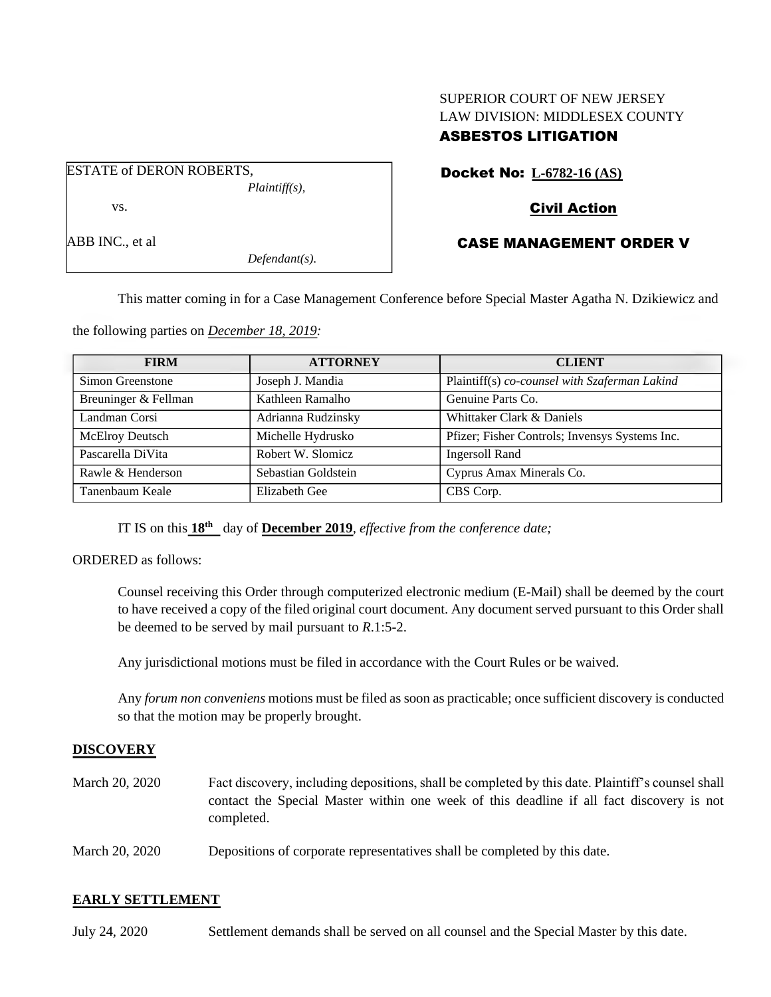# SUPERIOR COURT OF NEW JERSEY LAW DIVISION: MIDDLESEX COUNTY ASBESTOS LITIGATION

ESTATE of DERON ROBERTS, *Plaintiff(s),* vs.

ABB INC., et al

*Defendant(s).*

# Docket No: **L-6782-16 (AS)**

# Civil Action

# CASE MANAGEMENT ORDER V

This matter coming in for a Case Management Conference before Special Master Agatha N. Dzikiewicz and

the following parties on *December 18, 2019:*

| <b>FIRM</b>            | <b>ATTORNEY</b>     | <b>CLIENT</b>                                                                                   |  |
|------------------------|---------------------|-------------------------------------------------------------------------------------------------|--|
| Simon Greenstone       | Joseph J. Mandia    | Plaintiff(s) co-counsel with Szaferman Lakind<br>Genuine Parts Co.<br>Whittaker Clark & Daniels |  |
| Breuninger & Fellman   | Kathleen Ramalho    |                                                                                                 |  |
| Landman Corsi          | Adrianna Rudzinsky  |                                                                                                 |  |
| <b>McElroy Deutsch</b> | Michelle Hydrusko   | Pfizer; Fisher Controls; Invensys Systems Inc.                                                  |  |
| Pascarella DiVita      | Robert W. Slomicz   | <b>Ingersoll Rand</b><br>Cyprus Amax Minerals Co.                                               |  |
| Rawle & Henderson      | Sebastian Goldstein |                                                                                                 |  |
| Tanenbaum Keale        | Elizabeth Gee       | CBS Corp.                                                                                       |  |

IT IS on this **18th** day of **December 2019**, *effective from the conference date;*

ORDERED as follows:

Counsel receiving this Order through computerized electronic medium (E-Mail) shall be deemed by the court to have received a copy of the filed original court document. Any document served pursuant to this Order shall be deemed to be served by mail pursuant to *R*.1:5-2.

Any jurisdictional motions must be filed in accordance with the Court Rules or be waived.

Any *forum non conveniens* motions must be filed as soon as practicable; once sufficient discovery is conducted so that the motion may be properly brought.

## **DISCOVERY**

- March 20, 2020 Fact discovery, including depositions, shall be completed by this date. Plaintiff's counsel shall contact the Special Master within one week of this deadline if all fact discovery is not completed.
- March 20, 2020 Depositions of corporate representatives shall be completed by this date.

## **EARLY SETTLEMENT**

July 24, 2020 Settlement demands shall be served on all counsel and the Special Master by this date.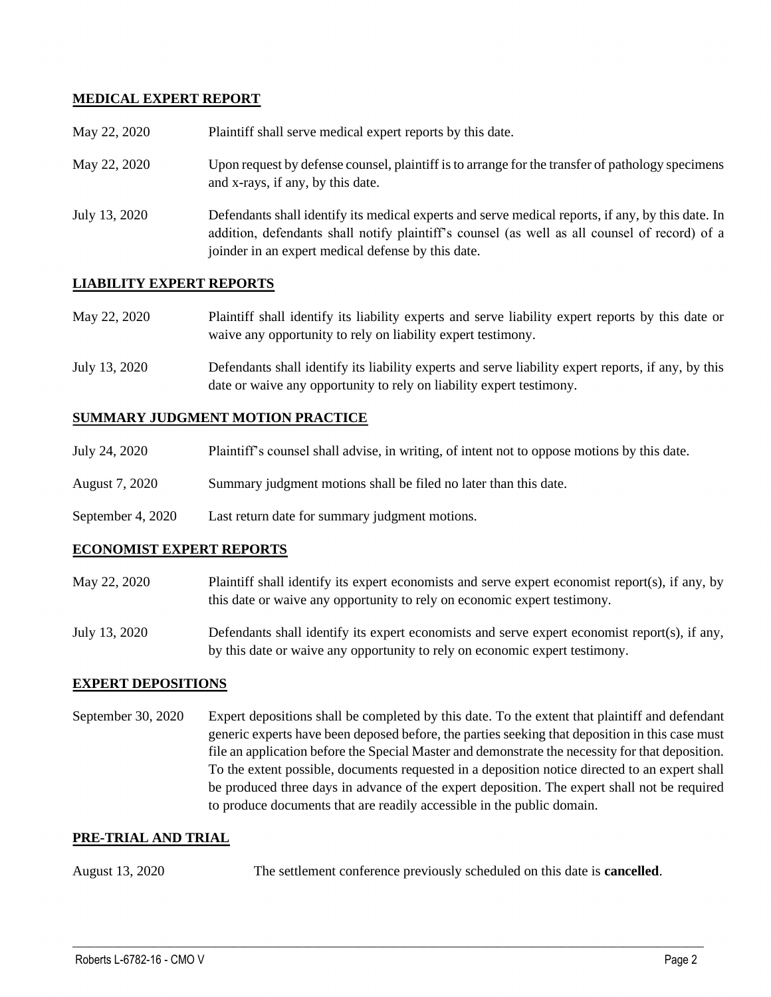## **MEDICAL EXPERT REPORT**

| May 22, 2020  | Plaintiff shall serve medical expert reports by this date.                                                                                                                                                                                               |
|---------------|----------------------------------------------------------------------------------------------------------------------------------------------------------------------------------------------------------------------------------------------------------|
| May 22, 2020  | Upon request by defense counsel, plaintiff is to arrange for the transfer of pathology specimens<br>and x-rays, if any, by this date.                                                                                                                    |
| July 13, 2020 | Defendants shall identify its medical experts and serve medical reports, if any, by this date. In<br>addition, defendants shall notify plaintiff's counsel (as well as all counsel of record) of a<br>joinder in an expert medical defense by this date. |

#### **LIABILITY EXPERT REPORTS**

| May 22, 2020 | Plaintiff shall identify its liability experts and serve liability expert reports by this date or |
|--------------|---------------------------------------------------------------------------------------------------|
|              | waive any opportunity to rely on liability expert testimony.                                      |

July 13, 2020 Defendants shall identify its liability experts and serve liability expert reports, if any, by this date or waive any opportunity to rely on liability expert testimony.

#### **SUMMARY JUDGMENT MOTION PRACTICE**

| July 24, 2020 | Plaintiff's counsel shall advise, in writing, of intent not to oppose motions by this date. |  |
|---------------|---------------------------------------------------------------------------------------------|--|
|               |                                                                                             |  |

- August 7, 2020 Summary judgment motions shall be filed no later than this date.
- September 4, 2020 Last return date for summary judgment motions.

#### **ECONOMIST EXPERT REPORTS**

May 22, 2020 Plaintiff shall identify its expert economists and serve expert economist report(s), if any, by this date or waive any opportunity to rely on economic expert testimony.

July 13, 2020 Defendants shall identify its expert economists and serve expert economist report(s), if any, by this date or waive any opportunity to rely on economic expert testimony.

#### **EXPERT DEPOSITIONS**

September 30, 2020 Expert depositions shall be completed by this date. To the extent that plaintiff and defendant generic experts have been deposed before, the parties seeking that deposition in this case must file an application before the Special Master and demonstrate the necessity for that deposition. To the extent possible, documents requested in a deposition notice directed to an expert shall be produced three days in advance of the expert deposition. The expert shall not be required to produce documents that are readily accessible in the public domain.

#### **PRE-TRIAL AND TRIAL**

August 13, 2020 The settlement conference previously scheduled on this date is **cancelled**.

 $\_$  , and the set of the set of the set of the set of the set of the set of the set of the set of the set of the set of the set of the set of the set of the set of the set of the set of the set of the set of the set of th